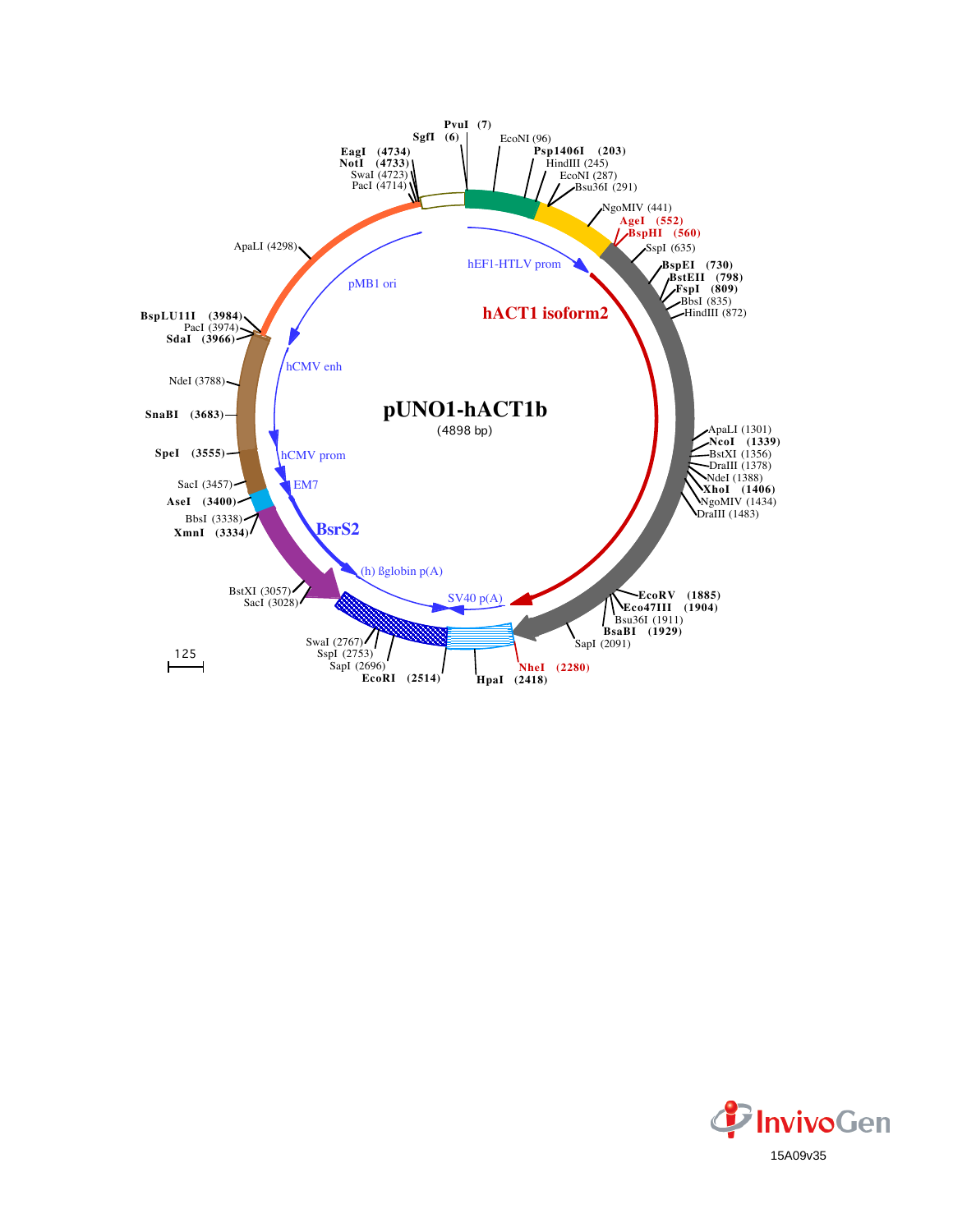

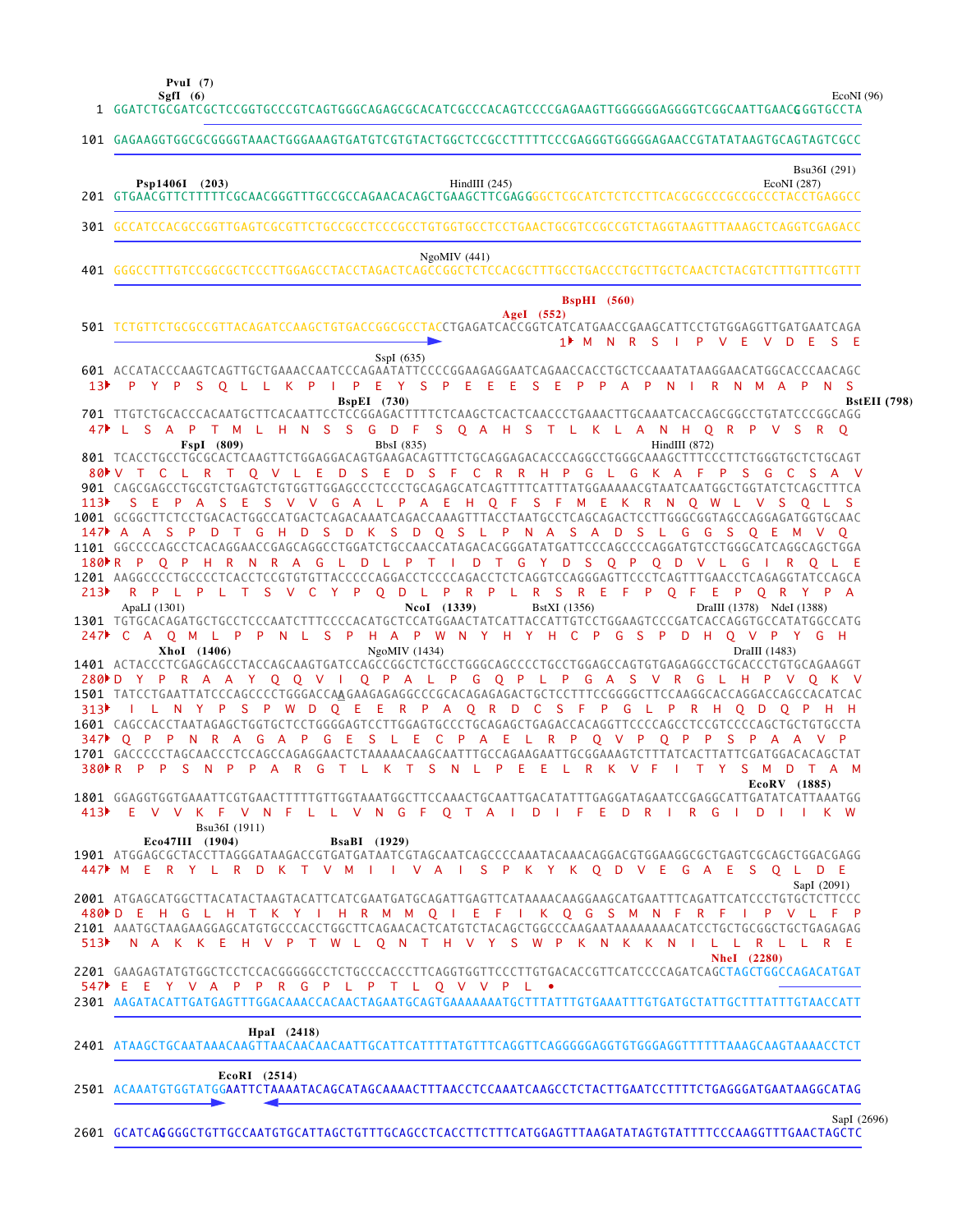**PvuI (7)**

EcoNI (96)

|                  | Sgfl (6)<br>EcoNI(96)<br>1 GGATCTGCGATCGCTCCGGTGCCCGTCAGTGGGCAGAGCGCACATCGCCCACAGTCCCCGAGAAGTTGGGGGGAGGGGTCGGCAATTGAACGGGTGCCTA                                                                                                                                                                                                                                                          |
|------------------|------------------------------------------------------------------------------------------------------------------------------------------------------------------------------------------------------------------------------------------------------------------------------------------------------------------------------------------------------------------------------------------|
|                  | 101 GAGAAGGTGGCGCGGGGTAAACTGGGAAAGTGATGTCGTGTACTGGCTCCGCCTTTTTCCCGAGGGTGGGGGAACCGTATATAAGTGCAGTAGTCGCC                                                                                                                                                                                                                                                                                   |
|                  | Bsu36I (291)<br>Psp1406I (203)<br>HindIII $(245)$<br>EcoNI (287)                                                                                                                                                                                                                                                                                                                         |
|                  | 301 GCCATCCACGCCGGTTGAGTCGCGTTCTGCCGCCTCCCGCCTGTGGTGCCTCCTGAACTGCGTCCGCCGTCTAGGTAAGTTTAAAGCTCAGGTCGAGACC                                                                                                                                                                                                                                                                                 |
|                  | NgoMIV(441)                                                                                                                                                                                                                                                                                                                                                                              |
|                  | <b>BspHI</b> (560)<br>AgeI $(552)$<br>501 TCTGTTCTGCGCCGTTACAGATCCAAGCTGTGACCGGCGCCTACCTGAGATCACCGGTCATCATGAACCGAAGCATTCCTGTGGAGGTTGATGAATCAGA<br>1 M N R S I P V E V D<br>ES E                                                                                                                                                                                                          |
| 13 <sup>2</sup>  | SspI $(635)$<br>601 ACCATACCCAAGTCAGTTGCTGAAACCAATCCCAGAATATTCCCCGGAAGAGGAATCAGAACCACCTGCTCCAAATATAAGGAACATGGCACCCAACAGC<br>I PEYSPEEESEPPAPNIRNMAP<br>P Y P S O L L K P<br>N.<br>-S<br><b>BspEI</b> (730)<br><b>BstEII</b> (798)                                                                                                                                                        |
| 47               | L S A P T M L H N S S G D F S Q A H S T L K L A N H Q R P V S R Q<br>FspI (809)<br>BbsI (835)<br>HindIII $(872)$                                                                                                                                                                                                                                                                         |
| 113              | 801 TCACCTGCCTGCGCACTCAAGTTCTGGAGGACAGTGAAGACAGTTTCTGCAGGAGACACCCAGGCCTGGGCAAAGCTTTCCCTTCTGGGTGCTCTGCAGT<br>S E D S F C<br>L R<br><b>D</b><br>R R H P G L G<br>K A F<br>80▶ V T C<br>$\top$<br>OVL<br>- E<br>P.<br>S.<br>G<br>C<br>S.<br>$\vee$<br>PASES V V G A L P A E H O F S F M E K R N O W L V S O L<br>S E                                                                        |
|                  | 1001 GCGGCTTCTCCTGACACTGGCCATGACTCAGACAAATCAGACCAAAGTTTACCTAATGCCTCAGCAGACTCCTTGGGCGGTAGCCAGGAGATGGTGCAAC<br>$147$ A A<br>S P<br>D T G H D S D K S D Q S L P N A S A D S L G G<br>S Q E<br><b>M</b>                                                                                                                                                                                      |
|                  | 1101 GGCCCCAGCCTCACAGGAACCGAGCAGGCCTGGATCTGCCAACCATAGACACGGGATATGATTCCCAGCCCCAGGATGTCCTGGGCATCAGGCAGCTGGA<br>180 R P O P H R N R A G L D L P T I D T G Y D S O P O D V L G I R O L E<br>1201 AAGGCCCCTGCCCCTCACCTCCGTGTGTTACCCCCAGGACCTCCCCAGACCTCTCAGGTCCAGGGAGTTCCCTCAGTTTGAACCTCAGAGGTATCCAGCA                                                                                        |
| 213              | R P L P L T S V C Y P Q D L P R P L R S R E F<br>P Q F E P Q R Y P A<br>ApaLI (1301)<br>NcoI (1339)<br>BstXI (1356)<br>DraIII (1378) NdeI (1388)<br>1301 TGTGCACAGATGCTGCCTCCCAATCTTTCCCCACATGCTCCATGGAACTATCATTACCATTGTCCTGGAAGTCCCGATCACCAGGTGCCATATGGCCATG<br>247 C A O M L P<br>N L S P H A P W N Y H Y H C P<br>G S<br>$\mathsf{P}$<br>HO V<br>P.<br>D<br>PY GH                     |
|                  | NgoMIV (1434)<br>DraIII (1483)<br>XhoI (1406)                                                                                                                                                                                                                                                                                                                                            |
| 313 <sup>3</sup> | Y Q Q V I Q P A L P G Q P L P G A S V R G<br>280 D Y<br>P R A<br><b>A</b><br>H P V O K<br>1501 TATCCTGAATTATCCCAGCCCCTGGGACCAAGAAGAGAGGCCCGCACAGAGAGACTGCTCCTTTCCGGGGCTTCCAAGGCACCAGGACCAGCCACATCAC<br>I L N Y P S P W D Q E E R P A Q R D C S F P G L P R H Q D Q P<br>1601 CAGCCACCTAATAGAGCTGGTGCTCCTGGGGAGTCCTTGGAGTGCCCTGCAGAGCTGAGACCACAGGTTCCCCAGCCTCCCCCAGCTGCTGTGCCTA           |
|                  | 347 P P N R A G A P G E S L E C P A E L R P Q V P<br>$Q$ $P$<br>- P<br>-S<br>A<br>1701 GACCCCCTAGCAACCCTCCAGCCAGAGGAACTCTAAAAACAAGCAATTTGCCAGAAGAATTGCGGAAAGTCTTTATCACTTATTCGATGGACACAGACTAT<br>380 R P P S N P P A R G T L K T S N L P E E L R K<br>TYSMDTAM<br>V F                                                                                                                     |
|                  | EcoRV (1885)<br>1801 GGAGGTGGTGAAATTCGTGAACTTTTTGTTGGTAAATGGCTTCCAAACTGCAATTGACATATTTGAGGATAGAATCCGAGGCATTGATATCATTAAATGG<br>413 EV V K F V N F L L V N G F O T A I D I F E D R I R G I D I I K W                                                                                                                                                                                        |
|                  | Bsu36I (1911)<br>Eco47III (1904)<br><b>BsaBI</b> (1929)<br>1901 ATGGAGCGCTACCTTAGGGATAAGACCGTGATGATAATCGTAGCAATCAGCCCCAAATACAAACAGGACGTGGAAGGCGCTGAGTCGCAGCTGGACGAGG<br>447▶ M E R Y L R D K T V M I I V A I S P K Y K Q D V E G A E S Q L D E<br>SapI (2091)                                                                                                                            |
|                  | 2001 ATGAGCATGGCTTACATACTAAGTACATTCATCGAATGATGCAGATTGAGTTCATAAAACAAGGAAGCATGAATTTCAGATTCATCCCTGTGCTCTTCCC<br>480 DEH GL H T K Y I H R M M O I E F I K O G S M N F R F I P V L F P<br>2101 AAATGCTAAGAAGGAGCATGTGCCCACCTGGCTTCAGAACACTCATGTCTACAGCTGGCCCAAGAATAAAAAAACATCCTGCTGCGGCTGCTGAGAGAG<br>513 NAKKE H V P T W L O N T H V Y S W P K N K K N I L L R L L R E<br><b>NheI</b> (2280) |
|                  | 547 E E Y V A P P R G P L P T L Q V V P L .<br>2301 AAGATACATTGATGAGTTTGGACAAACCACAACTAGAATGCAGTGAAAAAAATGCTTTATTTGTGAAATTTGTGATGCTATTGCTTTATTTGTAACCATT                                                                                                                                                                                                                                 |
|                  | HpaI (2418)                                                                                                                                                                                                                                                                                                                                                                              |
|                  | $EcoRI$ (2514)<br>2501 ACAAATGTGGTATGGAATTCTAAAATACAGCATAGCAAAACTTTAACCTCCAAATCAAGCCTCTACTTGAATCCTTTTCTGAGGGATGAATAAGGCATAG                                                                                                                                                                                                                                                              |

GCATCAG GGGCTGTTGCCAATGTGCATTAGCTGTTTGCAGCCTCACCTTCTTTCATGGAGTTTAAGATATAGTGTATTTTCCCAAGGTTTGAACTAGCTC SapI (2696) 2601